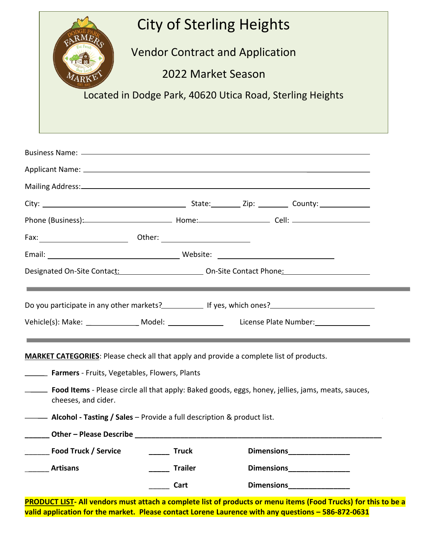|                                                                                                |                | <b>City of Sterling Heights</b>                                                                               |  |
|------------------------------------------------------------------------------------------------|----------------|---------------------------------------------------------------------------------------------------------------|--|
|                                                                                                |                | <b>Vendor Contract and Application</b>                                                                        |  |
|                                                                                                |                | 2022 Market Season                                                                                            |  |
|                                                                                                |                |                                                                                                               |  |
|                                                                                                |                | Located in Dodge Park, 40620 Utica Road, Sterling Heights                                                     |  |
|                                                                                                |                |                                                                                                               |  |
|                                                                                                |                |                                                                                                               |  |
|                                                                                                |                | Business Name: 2008 and 2008 and 2008 and 2008 and 2008 and 2008 and 2008 and 2008 and 2008 and 2008 and 2008 |  |
|                                                                                                |                |                                                                                                               |  |
|                                                                                                |                |                                                                                                               |  |
|                                                                                                |                |                                                                                                               |  |
|                                                                                                |                |                                                                                                               |  |
|                                                                                                |                |                                                                                                               |  |
|                                                                                                |                |                                                                                                               |  |
|                                                                                                |                |                                                                                                               |  |
|                                                                                                |                |                                                                                                               |  |
|                                                                                                |                |                                                                                                               |  |
| Vehicle(s): Make: __________________ Model: ________________                                   |                | License Plate Number:________________                                                                         |  |
|                                                                                                |                |                                                                                                               |  |
| <b>MARKET CATEGORIES:</b> Please check all that apply and provide a complete list of products. |                |                                                                                                               |  |
| <b>Earmers</b> - Fruits, Vegetables, Flowers, Plants                                           |                |                                                                                                               |  |
| cheeses, and cider.                                                                            |                | <b>Eood Items</b> - Please circle all that apply: Baked goods, eggs, honey, jellies, jams, meats, sauces,     |  |
| <b>Alcohol - Tasting / Sales - Provide a full description &amp; product list.</b>              |                |                                                                                                               |  |
|                                                                                                |                |                                                                                                               |  |
|                                                                                                |                |                                                                                                               |  |
| Food Truck / Service                                                                           | <b>Truck</b>   | Dimensions<br><u>__________________</u>                                                                       |  |
| <b>Artisans</b>                                                                                | <b>Trailer</b> |                                                                                                               |  |

**PRODUCT LIST- All vendors must attach a complete list of products or menu items (Food Trucks) for this to be a valid application for the market. Please contact Lorene Laurence with any questions – 586-872-0631**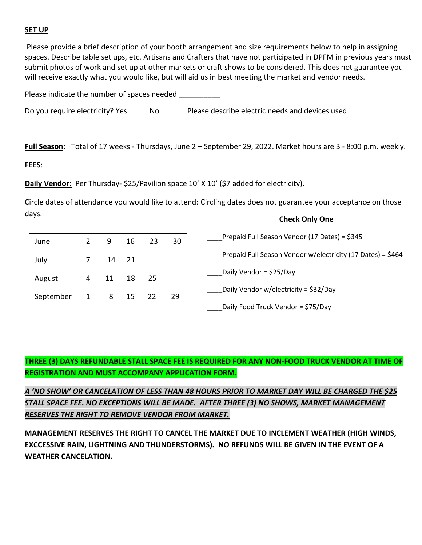#### **SET UP**

Please provide a brief description of your booth arrangement and size requirements below to help in assigning spaces. Describe table set ups, etc. Artisans and Crafters that have not participated in DPFM in previous years must submit photos of work and set up at other markets or craft shows to be considered. This does not guarantee you will receive exactly what you would like, but will aid us in best meeting the market and vendor needs.

Please indicate the number of spaces needed

Do you require electricity? Yes No Please describe electric needs and devices used

**Full Season**: Total of 17 weeks - Thursdays, June 2 – September 29, 2022. Market hours are 3 - 8:00 p.m. weekly.

#### **FEES**:

**Daily Vendor:** Per Thursday- \$25/Pavilion space 10' X 10' (\$7 added for electricity).

Circle dates of attendance you would like to attend: Circling dates does not guarantee your acceptance on those days.

| June      | $\overline{2}$ | 9  | 16 | 23 | 30 |
|-----------|----------------|----|----|----|----|
| July      | 7              | 14 | 21 |    |    |
| August    | 4              | 11 | 18 | 25 |    |
| September | $\mathbf{1}$   | 8  | 15 | 22 | 29 |
|           |                |    |    |    |    |



# **THREE (3) DAYS REFUNDABLE STALL SPACE FEE IS REQUIRED FOR ANY NON-FOOD TRUCK VENDOR AT TIME OF REGISTRATION AND MUST ACCOMPANY APPLICATION FORM.**

*A 'NO SHOW' OR CANCELATION OF LESS THAN 48 HOURS PRIOR TO MARKET DAY WILL BE CHARGED THE \$25 STALL SPACE FEE. NO EXCEPTIONS WILL BE MADE. AFTER THREE (3) NO SHOWS, MARKET MANAGEMENT RESERVES THE RIGHT TO REMOVE VENDOR FROM MARKET.*

**MANAGEMENT RESERVES THE RIGHT TO CANCEL THE MARKET DUE TO INCLEMENT WEATHER (HIGH WINDS, EXCCESSIVE RAIN, LIGHTNING AND THUNDERSTORMS). NO REFUNDS WILL BE GIVEN IN THE EVENT OF A WEATHER CANCELATION.**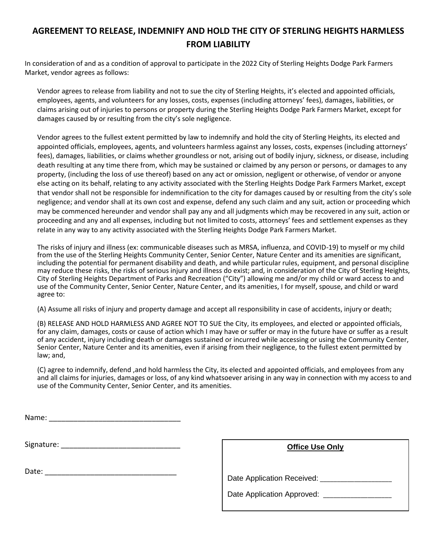# **AGREEMENT TO RELEASE, INDEMNIFY AND HOLD THE CITY OF STERLING HEIGHTS HARMLESS FROM LIABILITY**

In consideration of and as a condition of approval to participate in the 2022 City of Sterling Heights Dodge Park Farmers Market, vendor agrees as follows:

Vendor agrees to release from liability and not to sue the city of Sterling Heights, it's elected and appointed officials, employees, agents, and volunteers for any losses, costs, expenses (including attorneys' fees), damages, liabilities, or claims arising out of injuries to persons or property during the Sterling Heights Dodge Park Farmers Market, except for damages caused by or resulting from the city's sole negligence.

Vendor agrees to the fullest extent permitted by law to indemnify and hold the city of Sterling Heights, its elected and appointed officials, employees, agents, and volunteers harmless against any losses, costs, expenses (including attorneys' fees), damages, liabilities, or claims whether groundless or not, arising out of bodily injury, sickness, or disease, including death resulting at any time there from, which may be sustained or claimed by any person or persons, or damages to any property, (including the loss of use thereof) based on any act or omission, negligent or otherwise, of vendor or anyone else acting on its behalf, relating to any activity associated with the Sterling Heights Dodge Park Farmers Market, except that vendor shall not be responsible for indemnification to the city for damages caused by or resulting from the city's sole negligence; and vendor shall at its own cost and expense, defend any such claim and any suit, action or proceeding which may be commenced hereunder and vendor shall pay any and all judgments which may be recovered in any suit, action or proceeding and any and all expenses, including but not limited to costs, attorneys' fees and settlement expenses as they relate in any way to any activity associated with the Sterling Heights Dodge Park Farmers Market.

The risks of injury and illness (ex: communicable diseases such as MRSA, influenza, and COVID-19) to myself or my child from the use of the Sterling Heights Community Center, Senior Center, Nature Center and its amenities are significant, including the potential for permanent disability and death, and while particular rules, equipment, and personal discipline may reduce these risks, the risks of serious injury and illness do exist; and, in consideration of the City of Sterling Heights, City of Sterling Heights Department of Parks and Recreation ("City") allowing me and/or my child or ward access to and use of the Community Center, Senior Center, Nature Center, and its amenities, I for myself, spouse, and child or ward agree to:

(A) Assume all risks of injury and property damage and accept all responsibility in case of accidents, injury or death;

(B) RELEASE AND HOLD HARMLESS AND AGREE NOT TO SUE the City, its employees, and elected or appointed officials, for any claim, damages, costs or cause of action which I may have or suffer or may in the future have or suffer as a result of any accident, injury including death or damages sustained or incurred while accessing or using the Community Center, Senior Center, Nature Center and its amenities, even if arising from their negligence, to the fullest extent permitted by law; and,

(C) agree to indemnify, defend ,and hold harmless the City, its elected and appointed officials, and employees from any and all claims for injuries, damages or loss, of any kind whatsoever arising in any way in connection with my access to and use of the Community Center, Senior Center, and its amenities.

Signature: \_\_\_\_\_\_\_\_\_\_\_\_\_\_\_\_\_\_\_\_\_\_\_\_\_\_\_\_\_

Date: \_\_\_\_\_\_\_\_\_\_\_\_\_\_\_\_\_\_\_\_\_\_\_\_\_\_\_\_\_\_\_\_

| <b>Office Use Only</b>     |
|----------------------------|
| Date Application Received: |
| Date Application Approved: |
|                            |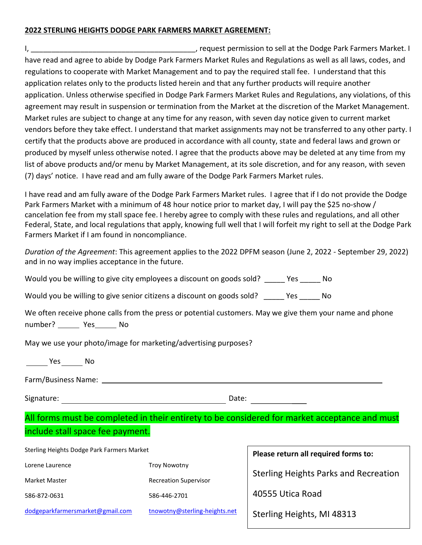#### **2022 STERLING HEIGHTS DODGE PARK FARMERS MARKET AGREEMENT:**

I, \_\_\_\_\_\_\_\_\_\_\_\_\_\_\_\_\_\_\_\_\_\_\_\_\_\_\_\_\_\_\_\_\_\_\_\_\_\_\_\_, request permission to sell at the Dodge Park Farmers Market. I have read and agree to abide by Dodge Park Farmers Market Rules and Regulations as well as all laws, codes, and regulations to cooperate with Market Management and to pay the required stall fee. I understand that this application relates only to the products listed herein and that any further products will require another application. Unless otherwise specified in Dodge Park Farmers Market Rules and Regulations, any violations, of this agreement may result in suspension or termination from the Market at the discretion of the Market Management. Market rules are subject to change at any time for any reason, with seven day notice given to current market vendors before they take effect. I understand that market assignments may not be transferred to any other party. I certify that the products above are produced in accordance with all county, state and federal laws and grown or produced by myself unless otherwise noted. I agree that the products above may be deleted at any time from my list of above products and/or menu by Market Management, at its sole discretion, and for any reason, with seven (7) days' notice. I have read and am fully aware of the Dodge Park Farmers Market rules.

I have read and am fully aware of the Dodge Park Farmers Market rules. I agree that if I do not provide the Dodge Park Farmers Market with a minimum of 48 hour notice prior to market day, I will pay the \$25 no-show / cancelation fee from my stall space fee. I hereby agree to comply with these rules and regulations, and all other Federal, State, and local regulations that apply, knowing full well that I will forfeit my right to sell at the Dodge Park Farmers Market if I am found in noncompliance.

*Duration of the Agreement*: This agreement applies to the 2022 DPFM season (June 2, 2022 - September 29, 2022) and in no way implies acceptance in the future.

Would you be willing to give city employees a discount on goods sold? The State of No

Would you be willing to give senior citizens a discount on goods sold? The State of No

|  |      | We often receive phone calls from the press or potential customers. May we give them your name and phone |  |  |
|--|------|----------------------------------------------------------------------------------------------------------|--|--|
|  | - No |                                                                                                          |  |  |

May we use your photo/image for marketing/advertising purposes?

Yes No

Farm/Business Name:

Signature: Date: Date: Date: Date: Date: Date: Date: Date: Date: Date: Date: Date: Date: Date: Date: Date: Date: Date:  $\sim$  Date: Date: Date: Date: Date: Date: Date: Date: Date: Date: Date: Date: Date: Date: Date: Date: Da

# All forms must be completed in their entirety to be considered for market acceptance and must include stall space fee payment.

| Sterling Heights Dodge Park Farmers Market | Please return all required forms to: |                                              |  |
|--------------------------------------------|--------------------------------------|----------------------------------------------|--|
| Lorene Laurence<br><b>Troy Nowotny</b>     |                                      |                                              |  |
| Market Master                              | <b>Recreation Supervisor</b>         | <b>Sterling Heights Parks and Recreation</b> |  |
| 586-872-0631                               | 586-446-2701                         | 40555 Utica Road                             |  |
| dodgeparkfarmersmarket@gmail.com           | tnowotny@sterling-heights.net        | Sterling Heights, MI 48313                   |  |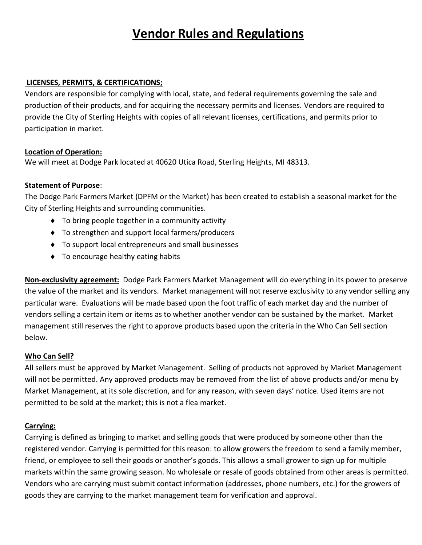# **Vendor Rules and Regulations**

#### **LICENSES, PERMITS, & CERTIFICATIONS;**

Vendors are responsible for complying with local, state, and federal requirements governing the sale and production of their products, and for acquiring the necessary permits and licenses. Vendors are required to provide the City of Sterling Heights with copies of all relevant licenses, certifications, and permits prior to participation in market.

#### **Location of Operation:**

We will meet at Dodge Park located at 40620 Utica Road, Sterling Heights, MI 48313.

# **Statement of Purpose**:

The Dodge Park Farmers Market (DPFM or the Market) has been created to establish a seasonal market for the City of Sterling Heights and surrounding communities.

- ◆ To bring people together in a community activity
- ◆ To strengthen and support local farmers/producers
- To support local entrepreneurs and small businesses
- ◆ To encourage healthy eating habits

**Non-exclusivity agreement:** Dodge Park Farmers Market Management will do everything in its power to preserve the value of the market and its vendors. Market management will not reserve exclusivity to any vendor selling any particular ware. Evaluations will be made based upon the foot traffic of each market day and the number of vendors selling a certain item or items as to whether another vendor can be sustained by the market. Market management still reserves the right to approve products based upon the criteria in the Who Can Sell section below.

# **Who Can Sell?**

All sellers must be approved by Market Management. Selling of products not approved by Market Management will not be permitted. Any approved products may be removed from the list of above products and/or menu by Market Management, at its sole discretion, and for any reason, with seven days' notice. Used items are not permitted to be sold at the market; this is not a flea market.

# **Carrying:**

Carrying is defined as bringing to market and selling goods that were produced by someone other than the registered vendor. Carrying is permitted for this reason: to allow growers the freedom to send a family member, friend, or employee to sell their goods or another's goods. This allows a small grower to sign up for multiple markets within the same growing season. No wholesale or resale of goods obtained from other areas is permitted. Vendors who are carrying must submit contact information (addresses, phone numbers, etc.) for the growers of goods they are carrying to the market management team for verification and approval.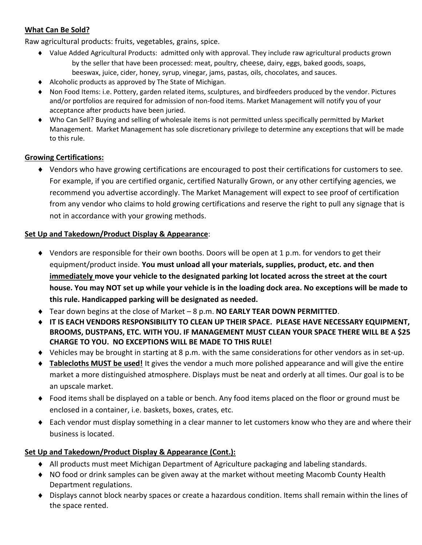# **What Can Be Sold?**

Raw agricultural products: fruits, vegetables, grains, spice.

- Value Added Agricultural Products: admitted only with approval. They include raw agricultural products grown by the seller that have been processed: meat, poultry, cheese, dairy, eggs, baked goods, soaps, beeswax, juice, cider, honey, syrup, vinegar, jams, pastas, oils, chocolates, and sauces.
- Alcoholic products as approved by The State of Michigan.
- Non Food Items: i.e. Pottery, garden related items, sculptures, and birdfeeders produced by the vendor. Pictures and/or portfolios are required for admission of non-food items. Market Management will notify you of your acceptance after products have been juried.
- Who Can Sell? Buying and selling of wholesale items is not permitted unless specifically permitted by Market Management. Market Management has sole discretionary privilege to determine any exceptions that will be made to this rule.

# **Growing Certifications:**

 Vendors who have growing certifications are encouraged to post their certifications for customers to see. For example, if you are certified organic, certified Naturally Grown, or any other certifying agencies, we recommend you advertise accordingly. The Market Management will expect to see proof of certification from any vendor who claims to hold growing certifications and reserve the right to pull any signage that is not in accordance with your growing methods.

#### **Set Up and Takedown/Product Display & Appearance**:

- Vendors are responsible for their own booths. Doors will be open at 1 p.m. for vendors to get their equipment/product inside. **You must unload all your materials, supplies, product, etc. and then immediately move your vehicle to the designated parking lot located across the street at the court house. You may NOT set up while your vehicle is in the loading dock area. No exceptions will be made to this rule. Handicapped parking will be designated as needed.**
- Tear down begins at the close of Market 8 p.m. **NO EARLY TEAR DOWN PERMITTED**.
- **IT IS EACH VENDORS RESPONSIBILITY TO CLEAN UP THEIR SPACE. PLEASE HAVE NECESSARY EQUIPMENT, BROOMS, DUSTPANS, ETC. WITH YOU. IF MANAGEMENT MUST CLEAN YOUR SPACE THERE WILL BE A \$25 CHARGE TO YOU. NO EXCEPTIONS WILL BE MADE TO THIS RULE!**
- Vehicles may be brought in starting at 8 p.m. with the same considerations for other vendors as in set-up.
- **Tablecloths MUST be used!** It gives the vendor a much more polished appearance and will give the entire market a more distinguished atmosphere. Displays must be neat and orderly at all times. Our goal is to be an upscale market.
- ◆ Food items shall be displayed on a table or bench. Any food items placed on the floor or ground must be enclosed in a container, i.e. baskets, boxes, crates, etc.
- Each vendor must display something in a clear manner to let customers know who they are and where their business is located.

# **Set Up and Takedown/Product Display & Appearance (Cont.):**

- All products must meet Michigan Department of Agriculture packaging and labeling standards.
- NO food or drink samples can be given away at the market without meeting Macomb County Health Department regulations.
- Displays cannot block nearby spaces or create a hazardous condition. Items shall remain within the lines of the space rented.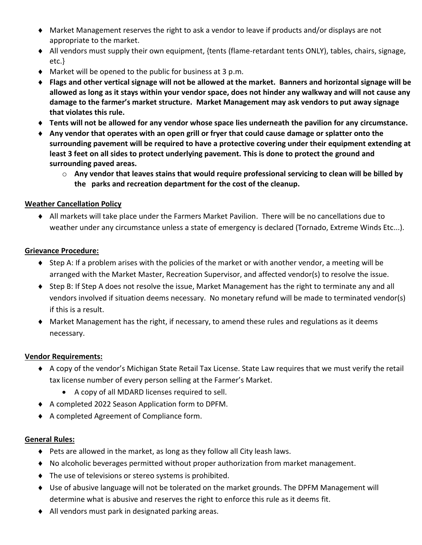- Market Management reserves the right to ask a vendor to leave if products and/or displays are not appropriate to the market.
- All vendors must supply their own equipment, {tents (flame-retardant tents ONLY), tables, chairs, signage, etc.}
- Market will be opened to the public for business at 3 p.m.
- **Flags and other vertical signage will not be allowed at the market. Banners and horizontal signage will be allowed as long as it stays within your vendor space, does not hinder any walkway and will not cause any damage to the farmer's market structure. Market Management may ask vendors to put away signage that violates this rule.**
- **Tents will not be allowed for any vendor whose space lies underneath the pavilion for any circumstance.**
- **Any vendor that operates with an open grill or fryer that could cause damage or splatter onto the surrounding pavement will be required to have a protective covering under their equipment extending at least 3 feet on all sides to protect underlying pavement. This is done to protect the ground and surrounding paved areas.**
	- o **Any vendor that leaves stains that would require professional servicing to clean will be billed by the parks and recreation department for the cost of the cleanup.**

# **Weather Cancellation Policy**

 All markets will take place under the Farmers Market Pavilion. There will be no cancellations due to weather under any circumstance unless a state of emergency is declared (Tornado, Extreme Winds Etc...).

#### **Grievance Procedure:**

- $\bullet$  Step A: If a problem arises with the policies of the market or with another vendor, a meeting will be arranged with the Market Master, Recreation Supervisor, and affected vendor(s) to resolve the issue.
- Step B: If Step A does not resolve the issue, Market Management has the right to terminate any and all vendors involved if situation deems necessary. No monetary refund will be made to terminated vendor(s) if this is a result.
- Market Management has the right, if necessary, to amend these rules and regulations as it deems necessary.

#### **Vendor Requirements:**

- A copy of the vendor's Michigan State Retail Tax License. State Law requires that we must verify the retail tax license number of every person selling at the Farmer's Market.
	- A copy of all MDARD licenses required to sell.
- A completed 2022 Season Application form to DPFM.
- A completed Agreement of Compliance form.

# **General Rules:**

- ◆ Pets are allowed in the market, as long as they follow all City leash laws.
- No alcoholic beverages permitted without proper authorization from market management.
- The use of televisions or stereo systems is prohibited.
- Use of abusive language will not be tolerated on the market grounds. The DPFM Management will determine what is abusive and reserves the right to enforce this rule as it deems fit.
- All vendors must park in designated parking areas.